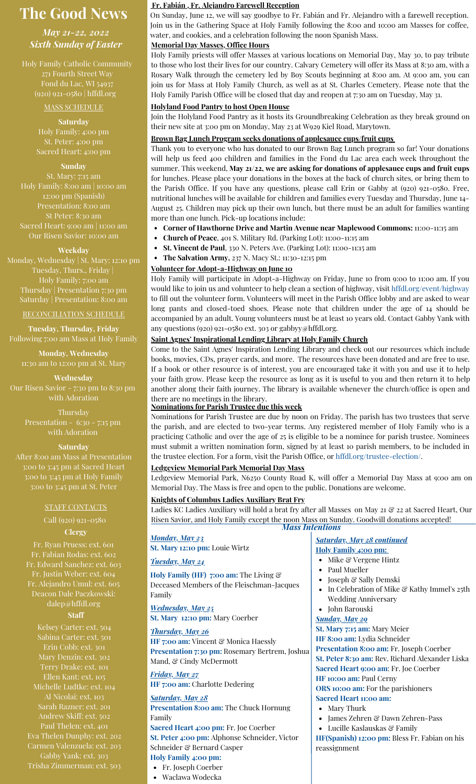# **The Good News**

*May 21-22, 2022 Sixth Sunday of Easter*

Holy Family Catholic Community 271 Fourth Street Way Fond du Lac, WI 54937 (920) 921-0580 | hffdl.org

#### MASS SCHEDULE

**Saturday** Holy Family: 4:00 pm Sacred Heart: 4:00 pm

#### **Sunday**

St. Mary: 7:15 am Holy Family: 8:00 am | 10:00 am 12:00 pm (Spanish) Presentation: 8:00 am St Peter: 8:30 am Sacred Heart: 9:00 am | 11:00 am Our Risen Savior: 10:00 am

#### **Weekday**

Monday, Wednesday | St. Mary: 12:10 pm Tuesday, Thurs., Friday | Holy Family: 7:00 am Thursday | Presentation 7:30 pm Saturday | Presentation: 8:00 am

RECONCILIATION SCHEDULE

**Tuesday, Thursday, Friday** Following 7:00 am Mass at Holy Family

**Monday, Wednesday** 11:30 am to 12:00 pm at St. Mary

**Wednesday** Our Risen Savior - 7:30 pm to 8:30 pm with Adoration

> Thursday Presentation - 6:30 - 7:15 pm with Adoration

#### **Saturday**

After 8:00 am Mass at Presentation 3:00 to 3:45 pm at Sacred Heart 3:00 to 3:45 pm at Holy Family 3:00 to 3:45 pm at St. Peter

#### STAFF CONTACTS

## Call (920) 921-0580

### **Clergy**

Fr. Ryan Pruess: ext. 601 Fr. Fabian Rodas: ext. 602 Fr. Edward Sanchez: ext. 603 Fr. Justin Weber: ext. 604 Alejandro Umul: ext. 605 Deacon Dale Paczkowski: [dalep@hffdl.org](mailto:dalep@hffdl.org)

#### **Staff**

Kelsey Carter: ext. 504 Sabina Carter: ext. 501 Erin Cobb: ext. 301 Mary Denzin: ext. 302 Terry Drake: ext. 101 Ellen Kant: ext. 105 Michelle Ludtke: ext. 104 Al Nicolai: ext. 103 Sarah Razner: ext. 201 Andrew Skiff: ext. 502 Paul Thelen: ext. 401 Eva Thelen Dunphy: ext. 202 Carmen Valenzuela: ext. 203 Gabby Yank: ext. 303 Trisha Zimmerman: ext. 503

### **Fr. Fabián , Fr. Alejandro Farewell Reception**

On Sunday, June 12, we will say goodbye to Fr. Fabián and Fr. Alejandro with a farewell reception. Join us in the Gathering Space at Holy Family following the 8:00 and 10:00 am Masses for coffee, water, and cookies, and a celebration following the noon Spanish Mass.

### **Memorial Day Masses, Office Hours**

Holy Family priests will offer Masses at various locations on Memorial Day, May 30, to pay tribute to those who lost their lives for our country. Calvary Cemetery will offer its Mass at 8:30 am, with a Rosary Walk through the cemetery led by Boy Scouts beginning at 8:00 am. At 9:00 am, you can join us for Mass at Holy Family Church, as well as at St. Charles Cemetery. Please note that the Holy Family Parish Office will be closed that day and reopen at 7:30 am on Tuesday, May 31.

### **Holyland Food Pantry to host Open House**

Join the Holyland Food Pantry as it hosts its Groundbreaking Celebration as they break ground on their new site at 3:00 pm on Monday, May 23 at W929 Kiel Road, Marytown.

### **Brown Bag Lunch Program seeks donations of applesauce cups/fruit cups**

Thank you to everyone who has donated to our Brown Bag Lunch program so far! Your donations will help us feed 400 children and families in the Fond du Lac area each week throughout the summer. This weekend, **May 21/22, we are asking for donations of applesauce cups and fruit cups** for lunches. Please place your donations in the boxes at the back of church sites, or bring them to the Parish Office. If you have any questions, please call Erin or Gabby at (920) 921-0580. Free, nutritional lunches will be available for children and families every Tuesday and Thursday, June 14- August 25. Children may pick up their own lunch, but there must be an adult for families wanting more than one lunch. Pick-up locations include:

- **Corner of Hawthorne Drive and Martin Avenue near Maplewood Commons:** 11:00-11:15 am
- **Church of Peace**, 401 S. Military Rd. (Parking Lot): 11:00-11:15 am
- **St. Vincent de Paul**, 330 N. Peters Ave. (Parking Lot): 11:00-11:15 am
- **The Salvation Army,** 237 N. Macy St.: 11:30-12:15 pm

### **Volunteer for Adopt-a-Highway on June 10**

Holy Family will participate in Adopt-a-Highway on Friday, June 10 from 9:00 to 11:00 am. If you would like to join us and volunteer to help clean a section of highway, visit [hffdl.org/event/highway](http://hffdl.org/event/highway) to fill out the volunteer form. Volunteers will meet in the Parish Office lobby and are asked to wear long pants and closed-toed shoes. Please note that children under the age of 14 should be accompanied by an adult. Young volunteers must be at least 10 years old. Contact Gabby Yank with any questions (920) 921-0580 ext. 303 or gabbyy@hffdl.org.

### **Saint Agnes' Inspirational Lending Library at Holy Family Church**

Come to the Saint Agnes' Inspiration Lending Library and check out our resources which include books, movies, CDs, prayer cards, and more. The resources have been donated and are free to use. If a book or other resource is of interest, you are encouraged take it with you and use it to help your faith grow. Please keep the resource as long as it is useful to you and then return it to help another along their faith journey. The library is available whenever the church/office is open and there are no meetings in the library.

### **Nominations for Parish Trustee due this week**

Nominations for Parish Trustee are due by noon on Friday. The parish has two trustees that serve the parish, and are elected to two-year terms. Any registered member of Holy Family who is a practicing Catholic and over the age of 25 is eligible to be a nominee for parish trustee. Nominees must submit a written nomination form, signed by at least 10 parish members, to be included in the trustee election. For a form, visit the Parish Office, or [hffdl.org/trustee-election/.](http://www.hffdl.org/trustee-election/)

### **Ledgeview Memorial Park Memorial Day Mass**

Ledgeview Memorial Park, N6250 County Road K, will offer a Memorial Day Mass at 9:00 am on Memorial Day. The Mass is free and open to the public. Donations are welcome.

### **Knights of Columbus Ladies Auxiliary Brat Fry**

*Mass Intentions* Ladies KC Ladies Auxiliary will hold a brat fry after all Masses on May 21 & 22 at Sacred Heart, Our Risen Savior, and Holy Family except the noon Mass on Sunday. Goodwill donations accepted!

*Monday, May 23* **St. Mary 12:10 pm:** Louie Wirtz

### *Tuesday, May 24*

**Holy Family (HF) 7:00 am:** The Living & Deceased Members of the Fleischman-Jacques Family

*Wednesday, May 25* **St. Mary 12:10 pm:** Mary Coerber

### *Thursday, May 26*

**HF 7:00 am:** Vincent & Monica Haessly **Presentation 7:30 pm:** Rosemary Bertrem, Joshua Mand, & Cindy McDermott

*Friday, May 27* **HF 7:00 am:** Charlotte Dedering

### *Saturday, May 28*

**Presentation 8:00 am:** The Chuck Hornung Family

**Sacred Heart 4:00 pm:** Fr. Joe Coerber **St. Peter 4:00 pm:** Alphonse Schneider, Victor Schneider & Bernard Casper

### **Holy Family 4:00 pm:**

- Fr. Joseph Coerber
- Waclawa Wodecka

#### *Saturday, May 28 continued* **Holy Family 4:00 pm:**

- Mike & Vergene Hintz
- Paul Mueller
- Joseph & Sally Demski  $\bullet$
- In Celebration of Mike & Kathy Immel's 25th Wedding Anniversary
- John Barouski

#### *Sunday, May 29*

**St. Mary 7:15 am:** Mary Meier **HF 8:00 am:** Lydia Schneider **Presentation 8:00 am:** Fr. Joseph Coerber **St. Peter 8:30 am:** Rev. Richard Alexander Liska **Sacred Heart 9:00 am**: Fr. Joe Coerber **HF 10:00 am:** Paul Cerny

#### **ORS 10:00 am:** For the parishioners

- **Sacred Heart 11:00 am:**
	- Mary Thurk
	- James Zehren & Dawn Zehren-Pass
	- Lucille Kaslauskas & Family

**HF(Spanish) 12:00 pm:** Bless Fr. Fabian on his reassignment